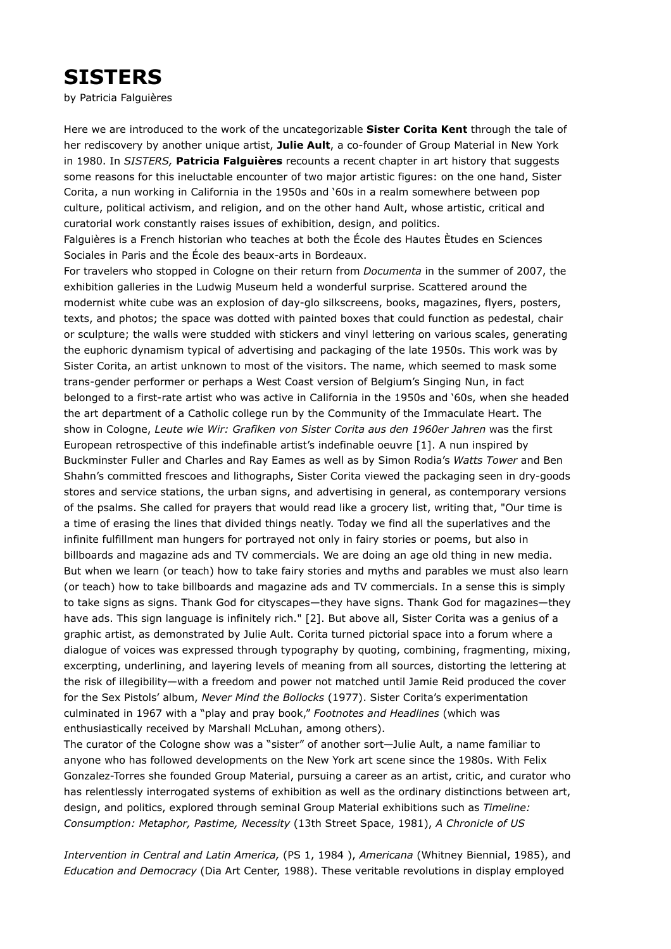## **SISTERS**

by Patricia Falguières

Here we are introduced to the work of the uncategorizable **Sister Corita Kent** through the tale of her rediscovery by another unique artist, **Julie Ault**, a co-founder of Group Material in New York in 1980. In *SISTERS,* **Patricia Falguières** recounts a recent chapter in art history that suggests some reasons for this ineluctable encounter of two major artistic figures: on the one hand, Sister Corita, a nun working in California in the 1950s and '60s in a realm somewhere between pop culture, political activism, and religion, and on the other hand Ault, whose artistic, critical and curatorial work constantly raises issues of exhibition, design, and politics.

Falguières is a French historian who teaches at both the École des Hautes Ètudes en Sciences Sociales in Paris and the École des beaux-arts in Bordeaux.

For travelers who stopped in Cologne on their return from *Documenta* in the summer of 2007, the exhibition galleries in the Ludwig Museum held a wonderful surprise. Scattered around the modernist white cube was an explosion of day-glo silkscreens, books, magazines, flyers, posters, texts, and photos; the space was dotted with painted boxes that could function as pedestal, chair or sculpture; the walls were studded with stickers and vinyl lettering on various scales, generating the euphoric dynamism typical of advertising and packaging of the late 1950s. This work was by Sister Corita, an artist unknown to most of the visitors. The name, which seemed to mask some trans-gender performer or perhaps a West Coast version of Belgium's Singing Nun, in fact belonged to a first-rate artist who was active in California in the 1950s and '60s, when she headed the art department of a Catholic college run by the Community of the Immaculate Heart. The show in Cologne, *Leute wie Wir: Grafiken von Sister Corita aus den 1960er Jahren* was the first European retrospective of this indefinable artist's indefinable oeuvre [1]. A nun inspired by Buckminster Fuller and Charles and Ray Eames as well as by Simon Rodia's *Watts Tower* and Ben Shahn's committed frescoes and lithographs, Sister Corita viewed the packaging seen in dry-goods stores and service stations, the urban signs, and advertising in general, as contemporary versions of the psalms. She called for prayers that would read like a grocery list, writing that, "Our time is a time of erasing the lines that divided things neatly. Today we find all the superlatives and the infinite fulfillment man hungers for portrayed not only in fairy stories or poems, but also in billboards and magazine ads and TV commercials. We are doing an age old thing in new media. But when we learn (or teach) how to take fairy stories and myths and parables we must also learn (or teach) how to take billboards and magazine ads and TV commercials. In a sense this is simply to take signs as signs. Thank God for cityscapes—they have signs. Thank God for magazines—they have ads. This sign language is infinitely rich." [2]. But above all, Sister Corita was a genius of a graphic artist, as demonstrated by Julie Ault. Corita turned pictorial space into a forum where a dialogue of voices was expressed through typography by quoting, combining, fragmenting, mixing, excerpting, underlining, and layering levels of meaning from all sources, distorting the lettering at the risk of illegibility—with a freedom and power not matched until Jamie Reid produced the cover for the Sex Pistols' album, *Never Mind the Bollocks* (1977). Sister Corita's experimentation culminated in 1967 with a "play and pray book," *Footnotes and Headlines* (which was enthusiastically received by Marshall McLuhan, among others).

The curator of the Cologne show was a "sister" of another sort—Julie Ault, a name familiar to anyone who has followed developments on the New York art scene since the 1980s. With Felix Gonzalez-Torres she founded Group Material, pursuing a career as an artist, critic, and curator who has relentlessly interrogated systems of exhibition as well as the ordinary distinctions between art, design, and politics, explored through seminal Group Material exhibitions such as *Timeline: Consumption: Metaphor, Pastime, Necessity* (13th Street Space, 1981), *A Chronicle of US*

*Intervention in Central and Latin America,* (PS 1, 1984 ), *Americana* (Whitney Biennial, 1985), and *Education and Democracy* (Dia Art Center, 1988). These veritable revolutions in display employed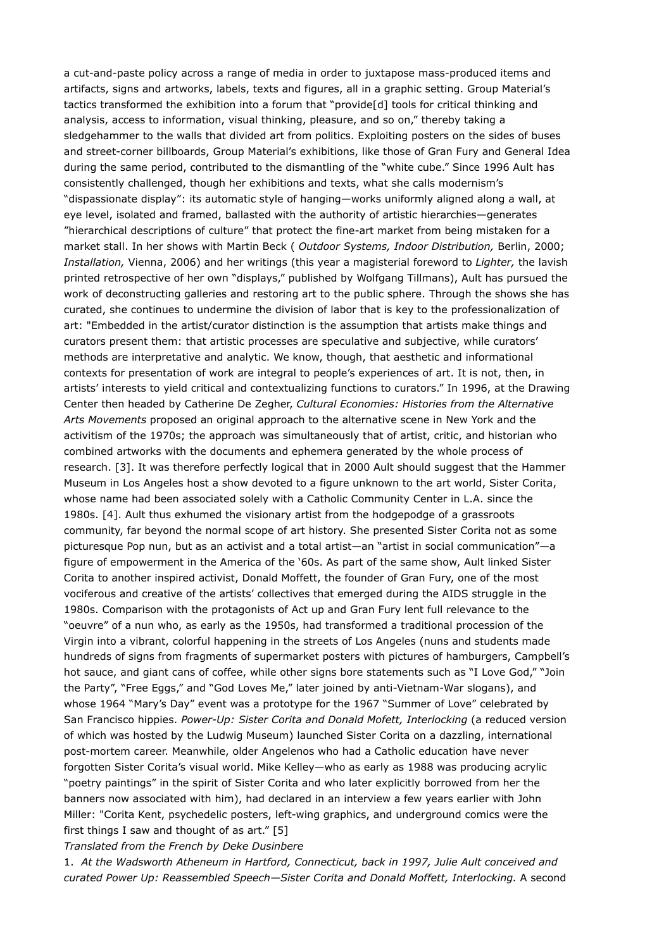a cut-and-paste policy across a range of media in order to juxtapose mass-produced items and artifacts, signs and artworks, labels, texts and figures, all in a graphic setting. Group Material's tactics transformed the exhibition into a forum that "provide[d] tools for critical thinking and analysis, access to information, visual thinking, pleasure, and so on," thereby taking a sledgehammer to the walls that divided art from politics. Exploiting posters on the sides of buses and street-corner billboards, Group Material's exhibitions, like those of Gran Fury and General Idea during the same period, contributed to the dismantling of the "white cube." Since 1996 Ault has consistently challenged, though her exhibitions and texts, what she calls modernism's "dispassionate display": its automatic style of hanging—works uniformly aligned along a wall, at eye level, isolated and framed, ballasted with the authority of artistic hierarchies—generates "hierarchical descriptions of culture" that protect the fine-art market from being mistaken for a market stall. In her shows with Martin Beck ( *Outdoor Systems, Indoor Distribution,* Berlin, 2000; *Installation,* Vienna, 2006) and her writings (this year a magisterial foreword to *Lighter,* the lavish printed retrospective of her own "displays," published by Wolfgang Tillmans), Ault has pursued the work of deconstructing galleries and restoring art to the public sphere. Through the shows she has curated, she continues to undermine the division of labor that is key to the professionalization of art: "Embedded in the artist/curator distinction is the assumption that artists make things and curators present them: that artistic processes are speculative and subjective, while curators' methods are interpretative and analytic. We know, though, that aesthetic and informational contexts for presentation of work are integral to people's experiences of art. It is not, then, in artists' interests to yield critical and contextualizing functions to curators." In 1996, at the Drawing Center then headed by Catherine De Zegher, *Cultural Economies: Histories from the Alternative Arts Movements* proposed an original approach to the alternative scene in New York and the activitism of the 1970s; the approach was simultaneously that of artist, critic, and historian who combined artworks with the documents and ephemera generated by the whole process of research. [3]. It was therefore perfectly logical that in 2000 Ault should suggest that the Hammer Museum in Los Angeles host a show devoted to a figure unknown to the art world, Sister Corita, whose name had been associated solely with a Catholic Community Center in L.A. since the 1980s. [4]. Ault thus exhumed the visionary artist from the hodgepodge of a grassroots community, far beyond the normal scope of art history. She presented Sister Corita not as some picturesque Pop nun, but as an activist and a total artist—an "artist in social communication"—a figure of empowerment in the America of the '60s. As part of the same show, Ault linked Sister Corita to another inspired activist, Donald Moffett, the founder of Gran Fury, one of the most vociferous and creative of the artists' collectives that emerged during the AIDS struggle in the 1980s. Comparison with the protagonists of Act up and Gran Fury lent full relevance to the "oeuvre" of a nun who, as early as the 1950s, had transformed a traditional procession of the Virgin into a vibrant, colorful happening in the streets of Los Angeles (nuns and students made hundreds of signs from fragments of supermarket posters with pictures of hamburgers, Campbell's hot sauce, and giant cans of coffee, while other signs bore statements such as "I Love God," "Join the Party", "Free Eggs," and "God Loves Me," later joined by anti-Vietnam-War slogans), and whose 1964 "Mary's Day" event was a prototype for the 1967 "Summer of Love" celebrated by San Francisco hippies. *Power-Up: Sister Corita and Donald Mofett, Interlocking* (a reduced version of which was hosted by the Ludwig Museum) launched Sister Corita on a dazzling, international post-mortem career. Meanwhile, older Angelenos who had a Catholic education have never forgotten Sister Corita's visual world. Mike Kelley—who as early as 1988 was producing acrylic "poetry paintings" in the spirit of Sister Corita and who later explicitly borrowed from her the banners now associated with him), had declared in an interview a few years earlier with John Miller: "Corita Kent, psychedelic posters, left-wing graphics, and underground comics were the first things I saw and thought of as art." [5]

*Translated from the French by Deke Dusinbere*

1. *At the Wadsworth Atheneum in Hartford, Connecticut, back in 1997, Julie Ault conceived and curated Power Up: Reassembled Speech—Sister Corita and Donald Moffett, Interlocking.* A second